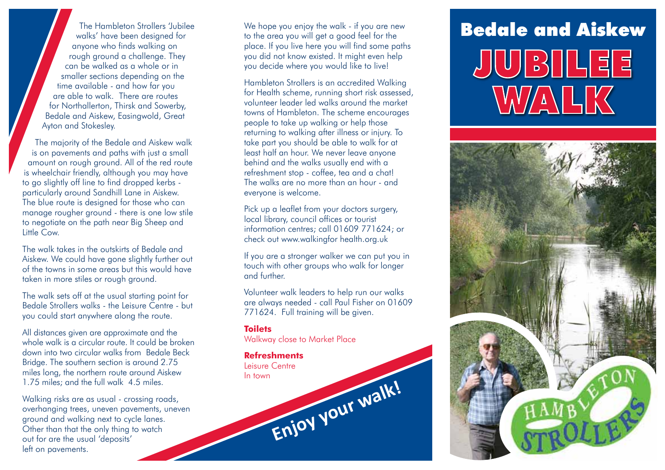walks' have been designed for anyone who finds walking on rough ground a challenge. They can be walked as a whole or in smaller sections depending on the time available - and how far you are able to walk. There are routes for Northallerton, Thirsk and Sowerby, Bedale and Aiskew, Easingwold, Great Ayton and Stokesley.

The majority of the Bedale and Aiskew walk is on pavements and paths with just a small amount on rough ground. All of the red route is wheelchair friendly, although you may have to go slightly off line to find dropped kerbs particularly around Sandhill Lane in Aiskew. The blue route is designed for those who can manage rougher ground - there is one low stile to negotiate on the path near Big Sheep and Little Cow.

The walk takes in the outskirts of Bedale and Aiskew. We could have gone slightly further out of the towns in some areas but this would have taken in more stiles or rough ground.

The walk sets off at the usual starting point for Bedale Strollers walks - the Leisure Centre - but you could start anywhere along the route.

All distances given are approximate and the whole walk is a circular route. It could be broken down into two circular walks from Bedale Beck Bridge. The southern section is around 2.75 miles long, the northern route around Aiskew 1.75 miles; and the full walk 4.5 miles.

Walking risks are as usual - crossing roads, overhanging trees, uneven pavements, uneven ground and walking next to cycle lanes. Other than that the only thing to watch out for are the usual 'deposits' left on pavements.

We hope you enjoy the walk - if you are new to the area you will get a good feel for the place. If you live here you will find some paths you did not know existed. It might even help you decide where you would like to live!

Hambleton Strollers is an accredited Walking for Health scheme, running short risk assessed, volunteer leader led walks around the market towns of Hambleton. The scheme encourages people to take up walking or help those returning to walking after illness or injury. To take part you should be able to walk for at least half an hour. We never leave anyone behind and the walks usually end with a refreshment stop - coffee, tea and a chat! The walks are no more than an hour - and everyone is welcome.

Pick up a leaflet from your doctors surgery, local library, council offices or tourist information centres; call 01609 771624; or check out www.walkingfor health.org.uk

If you are a stronger walker we can put you in touch with other groups who walk for longer and further.

Volunteer walk leaders to help run our walks are always needed - call Paul Fisher on 01609 771624. Full training will be given.

**Toilets** Walkway close to Market Place

**Refreshments** Leisure Centre In town **Enjoy your walk!**

## The Hambleton Strollers Jubilee We hope you enjoy the walk - if you are new Bedale and Aiskew